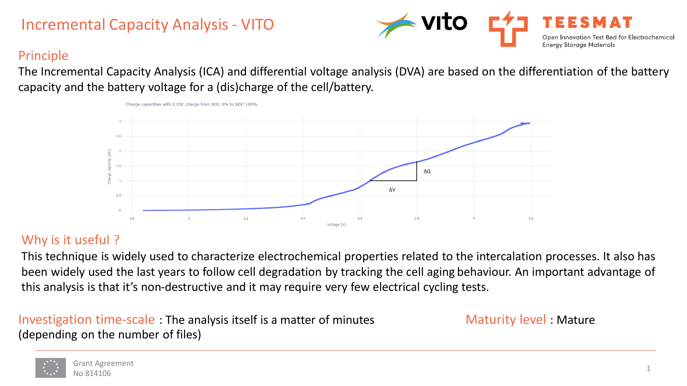# Incremental Capacity Analysis - VITO



## Principle

The Incremental Capacity Analysis (ICA) and differential voltage analysis (DVA) are based on the differentiation of the battery capacity and the battery voltage for a (dis)charge of the cell/battery.



## Why is it useful ?

This technique is widely used to characterize electrochemical properties related to the intercalation processes. It also has been widely used the last years to follow cell degradation by tracking the cell aging behaviour. An important advantage of this analysis is that it's non-destructive and it may require very few electrical cycling tests.

### Investigation time-scale : The analysis itself is a matter of minutes (depending on the number of files)

Charge capacities with 0.05C charge from SOC 0% to SOC 100%

Maturity level : Mature